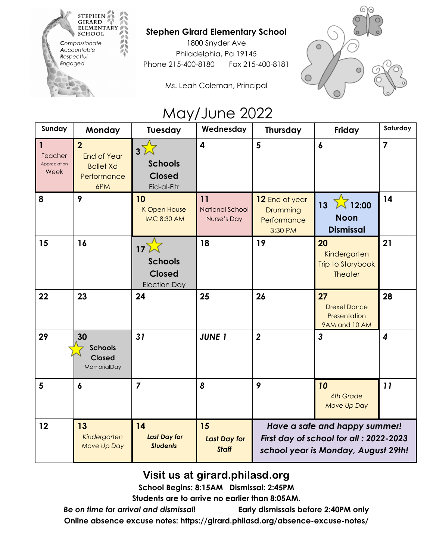

## **Stephen Girard Elementary School**

1800 Snyder Ave Philadelphia, Pa 19145 Phone 215-400-8180 Fax 215-400-8181





## May/June 2022

| Sunday                                          | Monday                                                                         | Tuesday                                                                   | Wednesday                                   | <b>Thursday</b>                                                                                                 | Friday                                                     | Saturday         |
|-------------------------------------------------|--------------------------------------------------------------------------------|---------------------------------------------------------------------------|---------------------------------------------|-----------------------------------------------------------------------------------------------------------------|------------------------------------------------------------|------------------|
| $\mathbf{1}$<br>Teacher<br>Appreciation<br>Week | $\overline{2}$<br><b>End of Year</b><br><b>Ballet Xd</b><br>Performance<br>6PM | $3\sqrt{2}$<br><b>Schools</b><br><b>Closed</b><br>Eid-al-Fitr             | $\overline{\mathbf{4}}$                     | $5\phantom{a}$                                                                                                  | $\boldsymbol{6}$                                           | $\overline{7}$   |
| 8                                               | 9                                                                              | 10<br>K Open House<br><b>IMC 8:30 AM</b>                                  | 11<br><b>National School</b><br>Nurse's Day | 12 End of year<br>Drumming<br>Performance<br>3:30 PM                                                            | $13\sqrt{12:00}$<br><b>Noon</b><br><b>Dismissal</b>        | 14               |
| 15                                              | 16                                                                             | 17 <sup>2</sup><br><b>Schools</b><br><b>Closed</b><br><b>Election Day</b> | 18                                          | 19                                                                                                              | 20<br>Kindergarten<br>Trip to Storybook<br><b>Theater</b>  | 21               |
| 22                                              | 23                                                                             | 24                                                                        | 25                                          | 26                                                                                                              | 27<br><b>Drexel Dance</b><br>Presentation<br>9AM and 10 AM | 28               |
| 29                                              | 30<br><b>Schools</b><br><b>Closed</b><br>MemorialDay                           | 31                                                                        | <b>JUNE 1</b>                               | $\overline{2}$                                                                                                  | 3                                                          | $\boldsymbol{4}$ |
| $5\phantom{1}$                                  | $\boldsymbol{6}$                                                               | $\overline{7}$                                                            | 8                                           | 9                                                                                                               | 10<br><b>4th Grade</b><br>Move Up Day                      | 11               |
| 12                                              | 13<br>Kindergarten<br>Move Up Day                                              | 14<br><b>Last Day for</b><br><b>Students</b>                              | 15<br><b>Last Day for</b><br><b>Staff</b>   | Have a safe and happy summer!<br>First day of school for all : 2022-2023<br>school year is Monday, August 29th! |                                                            |                  |

Visit us at girard.philasd.org

**School Begins: 8:15AM Dismissal: 2:45PM**

**Students are to arrive no earlier than 8:05AM.**

*Be on time for arrival and dismissal***! Early dismissals before 2:40PM only Online absence excuse notes: https://girard.philasd.org/absence-excuse-notes/**